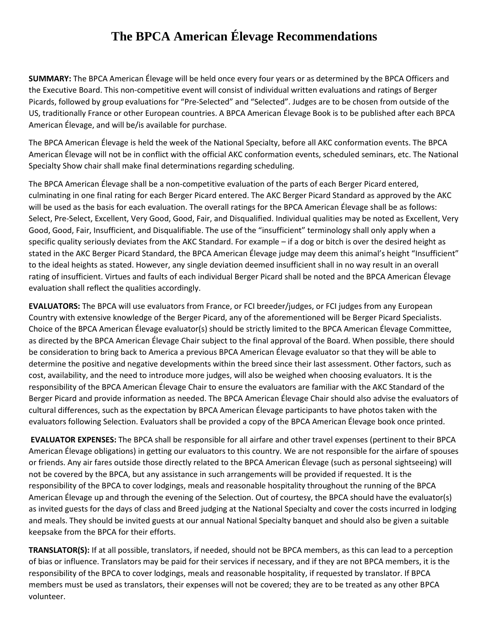## **The BPCA American Élevage Recommendations**

**SUMMARY:** The BPCA American Élevage will be held once every four years or as determined by the BPCA Officers and the Executive Board. This non-competitive event will consist of individual written evaluations and ratings of Berger Picards, followed by group evaluations for "Pre-Selected" and "Selected". Judges are to be chosen from outside of the US, traditionally France or other European countries. A BPCA American Élevage Book is to be published after each BPCA American Élevage, and will be/is available for purchase.

The BPCA American Élevage is held the week of the National Specialty, before all AKC conformation events. The BPCA American Élevage will not be in conflict with the official AKC conformation events, scheduled seminars, etc. The National Specialty Show chair shall make final determinations regarding scheduling.

The BPCA American Élevage shall be a non-competitive evaluation of the parts of each Berger Picard entered, culminating in one final rating for each Berger Picard entered. The AKC Berger Picard Standard as approved by the AKC will be used as the basis for each evaluation. The overall ratings for the BPCA American Élevage shall be as follows: Select, Pre-Select, Excellent, Very Good, Good, Fair, and Disqualified. Individual qualities may be noted as Excellent, Very Good, Good, Fair, Insufficient, and Disqualifiable. The use of the "insufficient" terminology shall only apply when a specific quality seriously deviates from the AKC Standard. For example – if a dog or bitch is over the desired height as stated in the AKC Berger Picard Standard, the BPCA American Élevage judge may deem this animal's height "Insufficient" to the ideal heights as stated. However, any single deviation deemed insufficient shall in no way result in an overall rating of insufficient. Virtues and faults of each individual Berger Picard shall be noted and the BPCA American Élevage evaluation shall reflect the qualities accordingly.

**EVALUATORS:** The BPCA will use evaluators from France, or FCI breeder/judges, or FCI judges from any European Country with extensive knowledge of the Berger Picard, any of the aforementioned will be Berger Picard Specialists. Choice of the BPCA American Élevage evaluator(s) should be strictly limited to the BPCA American Élevage Committee, as directed by the BPCA American Élevage Chair subject to the final approval of the Board. When possible, there should be consideration to bring back to America a previous BPCA American Élevage evaluator so that they will be able to determine the positive and negative developments within the breed since their last assessment. Other factors, such as cost, availability, and the need to introduce more judges, will also be weighed when choosing evaluators. It is the responsibility of the BPCA American Élevage Chair to ensure the evaluators are familiar with the AKC Standard of the Berger Picard and provide information as needed. The BPCA American Élevage Chair should also advise the evaluators of cultural differences, such as the expectation by BPCA American Élevage participants to have photos taken with the evaluators following Selection. Evaluators shall be provided a copy of the BPCA American Élevage book once printed.

**EVALUATOR EXPENSES:** The BPCA shall be responsible for all airfare and other travel expenses (pertinent to their BPCA American Élevage obligations) in getting our evaluators to this country. We are not responsible for the airfare of spouses or friends. Any air fares outside those directly related to the BPCA American Élevage (such as personal sightseeing) will not be covered by the BPCA, but any assistance in such arrangements will be provided if requested. It is the responsibility of the BPCA to cover lodgings, meals and reasonable hospitality throughout the running of the BPCA American Élevage up and through the evening of the Selection. Out of courtesy, the BPCA should have the evaluator(s) as invited guests for the days of class and Breed judging at the National Specialty and cover the costs incurred in lodging and meals. They should be invited guests at our annual National Specialty banquet and should also be given a suitable keepsake from the BPCA for their efforts.

**TRANSLATOR(S):** If at all possible, translators, if needed, should not be BPCA members, as this can lead to a perception of bias or influence. Translators may be paid for their services if necessary, and if they are not BPCA members, it is the responsibility of the BPCA to cover lodgings, meals and reasonable hospitality, if requested by translator. If BPCA members must be used as translators, their expenses will not be covered; they are to be treated as any other BPCA volunteer.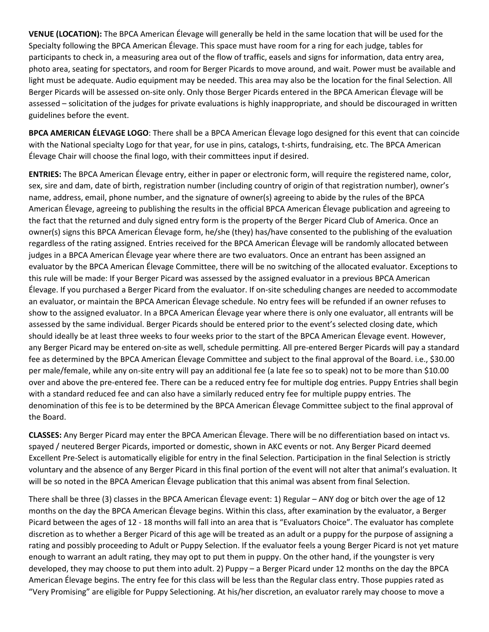**VENUE (LOCATION):** The BPCA American Élevage will generally be held in the same location that will be used for the Specialty following the BPCA American Élevage. This space must have room for a ring for each judge, tables for participants to check in, a measuring area out of the flow of traffic, easels and signs for information, data entry area, photo area, seating for spectators, and room for Berger Picards to move around, and wait. Power must be available and light must be adequate. Audio equipment may be needed. This area may also be the location for the final Selection. All Berger Picards will be assessed on-site only. Only those Berger Picards entered in the BPCA American Élevage will be assessed – solicitation of the judges for private evaluations is highly inappropriate, and should be discouraged in written guidelines before the event.

**BPCA AMERICAN ÉLEVAGE LOGO**: There shall be a BPCA American Élevage logo designed for this event that can coincide with the National specialty Logo for that year, for use in pins, catalogs, t-shirts, fundraising, etc. The BPCA American Élevage Chair will choose the final logo, with their committees input if desired.

**ENTRIES:** The BPCA American Élevage entry, either in paper or electronic form, will require the registered name, color, sex, sire and dam, date of birth, registration number (including country of origin of that registration number), owner's name, address, email, phone number, and the signature of owner(s) agreeing to abide by the rules of the BPCA American Élevage, agreeing to publishing the results in the official BPCA American Élevage publication and agreeing to the fact that the returned and duly signed entry form is the property of the Berger Picard Club of America. Once an owner(s) signs this BPCA American Élevage form, he/she (they) has/have consented to the publishing of the evaluation regardless of the rating assigned. Entries received for the BPCA American Élevage will be randomly allocated between judges in a BPCA American Élevage year where there are two evaluators. Once an entrant has been assigned an evaluator by the BPCA American Élevage Committee, there will be no switching of the allocated evaluator. Exceptions to this rule will be made: If your Berger Picard was assessed by the assigned evaluator in a previous BPCA American Élevage. If you purchased a Berger Picard from the evaluator. If on-site scheduling changes are needed to accommodate an evaluator, or maintain the BPCA American Élevage schedule. No entry fees will be refunded if an owner refuses to show to the assigned evaluator. In a BPCA American Élevage year where there is only one evaluator, all entrants will be assessed by the same individual. Berger Picards should be entered prior to the event's selected closing date, which should ideally be at least three weeks to four weeks prior to the start of the BPCA American Élevage event. However, any Berger Picard may be entered on-site as well, schedule permitting. All pre-entered Berger Picards will pay a standard fee as determined by the BPCA American Élevage Committee and subject to the final approval of the Board. i.e., \$30.00 per male/female, while any on-site entry will pay an additional fee (a late fee so to speak) not to be more than \$10.00 over and above the pre-entered fee. There can be a reduced entry fee for multiple dog entries. Puppy Entries shall begin with a standard reduced fee and can also have a similarly reduced entry fee for multiple puppy entries. The denomination of this fee is to be determined by the BPCA American Élevage Committee subject to the final approval of the Board.

**CLASSES:** Any Berger Picard may enter the BPCA American Élevage. There will be no differentiation based on intact vs. spayed / neutered Berger Picards, imported or domestic, shown in AKC events or not. Any Berger Picard deemed Excellent Pre-Select is automatically eligible for entry in the final Selection. Participation in the final Selection is strictly voluntary and the absence of any Berger Picard in this final portion of the event will not alter that animal's evaluation. It will be so noted in the BPCA American Élevage publication that this animal was absent from final Selection.

There shall be three (3) classes in the BPCA American Élevage event: 1) Regular – ANY dog or bitch over the age of 12 months on the day the BPCA American Élevage begins. Within this class, after examination by the evaluator, a Berger Picard between the ages of 12 - 18 months will fall into an area that is "Evaluators Choice". The evaluator has complete discretion as to whether a Berger Picard of this age will be treated as an adult or a puppy for the purpose of assigning a rating and possibly proceeding to Adult or Puppy Selection. If the evaluator feels a young Berger Picard is not yet mature enough to warrant an adult rating, they may opt to put them in puppy. On the other hand, if the youngster is very developed, they may choose to put them into adult. 2) Puppy – a Berger Picard under 12 months on the day the BPCA American Élevage begins. The entry fee for this class will be less than the Regular class entry. Those puppies rated as "Very Promising" are eligible for Puppy Selectioning. At his/her discretion, an evaluator rarely may choose to move a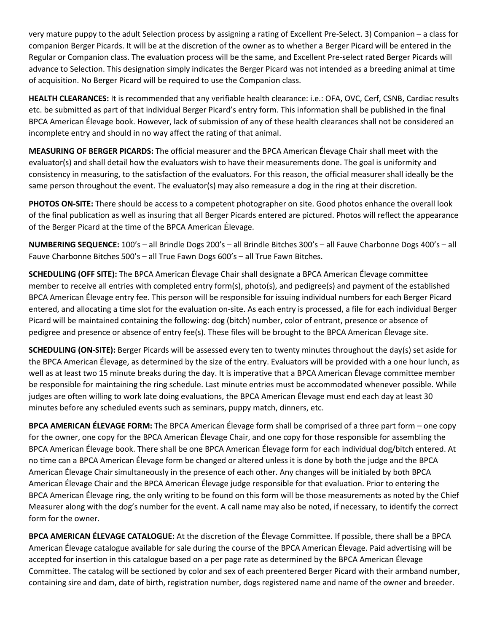very mature puppy to the adult Selection process by assigning a rating of Excellent Pre-Select. 3) Companion – a class for companion Berger Picards. It will be at the discretion of the owner as to whether a Berger Picard will be entered in the Regular or Companion class. The evaluation process will be the same, and Excellent Pre-select rated Berger Picards will advance to Selection. This designation simply indicates the Berger Picard was not intended as a breeding animal at time of acquisition. No Berger Picard will be required to use the Companion class.

**HEALTH CLEARANCES:** It is recommended that any verifiable health clearance: i.e.: OFA, OVC, Cerf, CSNB, Cardiac results etc. be submitted as part of that individual Berger Picard's entry form. This information shall be published in the final BPCA American Élevage book. However, lack of submission of any of these health clearances shall not be considered an incomplete entry and should in no way affect the rating of that animal.

**MEASURING OF BERGER PICARDS:** The official measurer and the BPCA American Élevage Chair shall meet with the evaluator(s) and shall detail how the evaluators wish to have their measurements done. The goal is uniformity and consistency in measuring, to the satisfaction of the evaluators. For this reason, the official measurer shall ideally be the same person throughout the event. The evaluator(s) may also remeasure a dog in the ring at their discretion.

**PHOTOS ON-SITE:** There should be access to a competent photographer on site. Good photos enhance the overall look of the final publication as well as insuring that all Berger Picards entered are pictured. Photos will reflect the appearance of the Berger Picard at the time of the BPCA American Élevage.

**NUMBERING SEQUENCE:** 100's – all Brindle Dogs 200's – all Brindle Bitches 300's – all Fauve Charbonne Dogs 400's – all Fauve Charbonne Bitches 500's – all True Fawn Dogs 600's – all True Fawn Bitches.

**SCHEDULING (OFF SITE):** The BPCA American Élevage Chair shall designate a BPCA American Élevage committee member to receive all entries with completed entry form(s), photo(s), and pedigree(s) and payment of the established BPCA American Élevage entry fee. This person will be responsible for issuing individual numbers for each Berger Picard entered, and allocating a time slot for the evaluation on-site. As each entry is processed, a file for each individual Berger Picard will be maintained containing the following: dog (bitch) number, color of entrant, presence or absence of pedigree and presence or absence of entry fee(s). These files will be brought to the BPCA American Élevage site.

**SCHEDULING (ON-SITE):** Berger Picards will be assessed every ten to twenty minutes throughout the day(s) set aside for the BPCA American Élevage, as determined by the size of the entry. Evaluators will be provided with a one hour lunch, as well as at least two 15 minute breaks during the day. It is imperative that a BPCA American Élevage committee member be responsible for maintaining the ring schedule. Last minute entries must be accommodated whenever possible. While judges are often willing to work late doing evaluations, the BPCA American Élevage must end each day at least 30 minutes before any scheduled events such as seminars, puppy match, dinners, etc.

**BPCA AMERICAN ÉLEVAGE FORM:** The BPCA American Élevage form shall be comprised of a three part form – one copy for the owner, one copy for the BPCA American Élevage Chair, and one copy for those responsible for assembling the BPCA American Élevage book. There shall be one BPCA American Élevage form for each individual dog/bitch entered. At no time can a BPCA American Élevage form be changed or altered unless it is done by both the judge and the BPCA American Élevage Chair simultaneously in the presence of each other. Any changes will be initialed by both BPCA American Élevage Chair and the BPCA American Élevage judge responsible for that evaluation. Prior to entering the BPCA American Élevage ring, the only writing to be found on this form will be those measurements as noted by the Chief Measurer along with the dog's number for the event. A call name may also be noted, if necessary, to identify the correct form for the owner.

**BPCA AMERICAN ÉLEVAGE CATALOGUE:** At the discretion of the Élevage Committee. If possible, there shall be a BPCA American Élevage catalogue available for sale during the course of the BPCA American Élevage. Paid advertising will be accepted for insertion in this catalogue based on a per page rate as determined by the BPCA American Élevage Committee. The catalog will be sectioned by color and sex of each preentered Berger Picard with their armband number, containing sire and dam, date of birth, registration number, dogs registered name and name of the owner and breeder.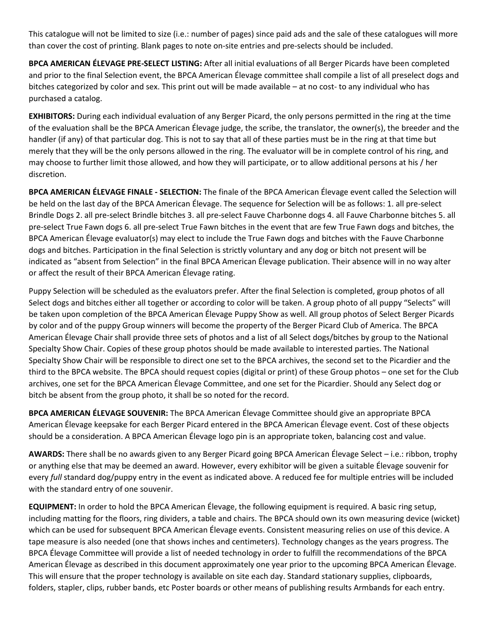This catalogue will not be limited to size (i.e.: number of pages) since paid ads and the sale of these catalogues will more than cover the cost of printing. Blank pages to note on-site entries and pre-selects should be included.

**BPCA AMERICAN ÉLEVAGE PRE-SELECT LISTING:** After all initial evaluations of all Berger Picards have been completed and prior to the final Selection event, the BPCA American Élevage committee shall compile a list of all preselect dogs and bitches categorized by color and sex. This print out will be made available – at no cost- to any individual who has purchased a catalog.

**EXHIBITORS:** During each individual evaluation of any Berger Picard, the only persons permitted in the ring at the time of the evaluation shall be the BPCA American Élevage judge, the scribe, the translator, the owner(s), the breeder and the handler (if any) of that particular dog. This is not to say that all of these parties must be in the ring at that time but merely that they will be the only persons allowed in the ring. The evaluator will be in complete control of his ring, and may choose to further limit those allowed, and how they will participate, or to allow additional persons at his / her discretion.

**BPCA AMERICAN ÉLEVAGE FINALE - SELECTION:** The finale of the BPCA American Élevage event called the Selection will be held on the last day of the BPCA American Élevage. The sequence for Selection will be as follows: 1. all pre-select Brindle Dogs 2. all pre-select Brindle bitches 3. all pre-select Fauve Charbonne dogs 4. all Fauve Charbonne bitches 5. all pre-select True Fawn dogs 6. all pre-select True Fawn bitches in the event that are few True Fawn dogs and bitches, the BPCA American Élevage evaluator(s) may elect to include the True Fawn dogs and bitches with the Fauve Charbonne dogs and bitches. Participation in the final Selection is strictly voluntary and any dog or bitch not present will be indicated as "absent from Selection" in the final BPCA American Élevage publication. Their absence will in no way alter or affect the result of their BPCA American Élevage rating.

Puppy Selection will be scheduled as the evaluators prefer. After the final Selection is completed, group photos of all Select dogs and bitches either all together or according to color will be taken. A group photo of all puppy "Selects" will be taken upon completion of the BPCA American Élevage Puppy Show as well. All group photos of Select Berger Picards by color and of the puppy Group winners will become the property of the Berger Picard Club of America. The BPCA American Élevage Chair shall provide three sets of photos and a list of all Select dogs/bitches by group to the National Specialty Show Chair. Copies of these group photos should be made available to interested parties. The National Specialty Show Chair will be responsible to direct one set to the BPCA archives, the second set to the Picardier and the third to the BPCA website. The BPCA should request copies (digital or print) of these Group photos – one set for the Club archives, one set for the BPCA American Élevage Committee, and one set for the Picardier. Should any Select dog or bitch be absent from the group photo, it shall be so noted for the record.

**BPCA AMERICAN ÉLEVAGE SOUVENIR:** The BPCA American Élevage Committee should give an appropriate BPCA American Élevage keepsake for each Berger Picard entered in the BPCA American Élevage event. Cost of these objects should be a consideration. A BPCA American Élevage logo pin is an appropriate token, balancing cost and value.

**AWARDS:** There shall be no awards given to any Berger Picard going BPCA American Élevage Select – i.e.: ribbon, trophy or anything else that may be deemed an award. However, every exhibitor will be given a suitable Élevage souvenir for every *full* standard dog/puppy entry in the event as indicated above. A reduced fee for multiple entries will be included with the standard entry of one souvenir.

**EQUIPMENT:** In order to hold the BPCA American Élevage, the following equipment is required. A basic ring setup, including matting for the floors, ring dividers, a table and chairs. The BPCA should own its own measuring device (wicket) which can be used for subsequent BPCA American Élevage events. Consistent measuring relies on use of this device. A tape measure is also needed (one that shows inches and centimeters). Technology changes as the years progress. The BPCA Élevage Committee will provide a list of needed technology in order to fulfill the recommendations of the BPCA American Élevage as described in this document approximately one year prior to the upcoming BPCA American Élevage. This will ensure that the proper technology is available on site each day. Standard stationary supplies, clipboards, folders, stapler, clips, rubber bands, etc Poster boards or other means of publishing results Armbands for each entry.